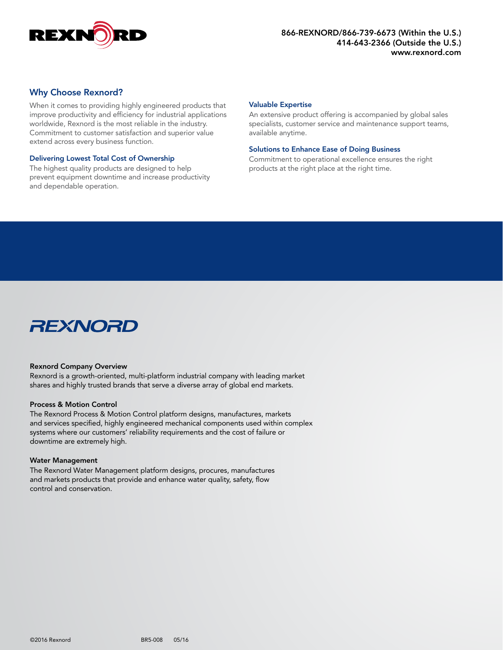

### Why Choose Rexnord?

When it comes to providing highly engineered products that improve productivity and efficiency for industrial applications worldwide, Rexnord is the most reliable in the industry. Commitment to customer satisfaction and superior value extend across every business function.

#### Delivering Lowest Total Cost of Ownership

The highest quality products are designed to help prevent equipment downtime and increase productivity and dependable operation.

#### Valuable Expertise

An extensive product offering is accompanied by global sales specialists, customer service and maintenance support teams, available anytime.

#### Solutions to Enhance Ease of Doing Business

Commitment to operational excellence ensures the right products at the right place at the right time.



#### Rexnord Company Overview

Rexnord is a growth-oriented, multi-platform industrial company with leading market shares and highly trusted brands that serve a diverse array of global end markets.

#### Process & Motion Control

The Rexnord Process & Motion Control platform designs, manufactures, markets and services specified, highly engineered mechanical components used within complex systems where our customers' reliability requirements and the cost of failure or downtime are extremely high.

#### Water Management

The Rexnord Water Management platform designs, procures, manufactures and markets products that provide and enhance water quality, safety, flow control and conservation.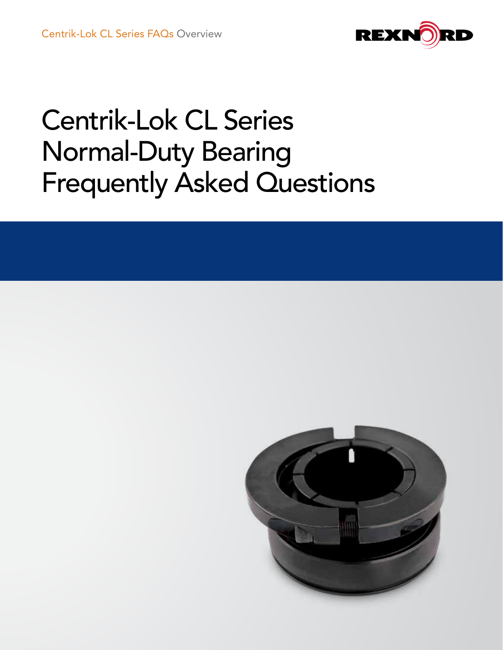

# Centrik-Lok CL Series Normal-Duty Bearing Frequently Asked Questions

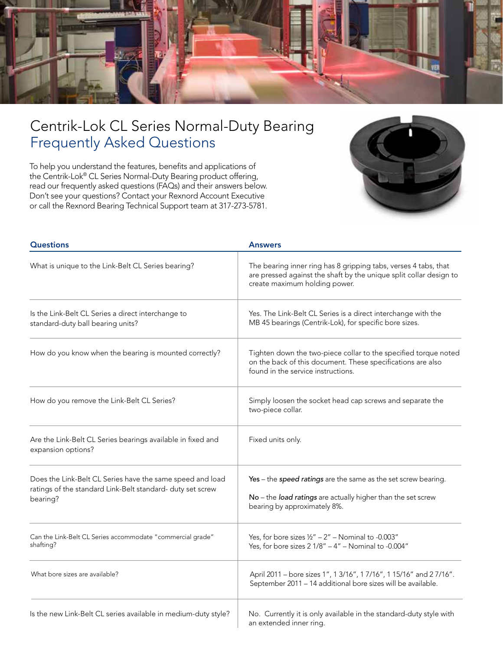

## Centrik-Lok CL Series Normal-Duty Bearing Frequently Asked Questions

To help you understand the features, benefits and applications of the Centrik-Lok® CL Series Normal-Duty Bearing product offering, read our frequently asked questions (FAQs) and their answers below. Don't see your questions? Contact your Rexnord Account Executive or call the Rexnord Bearing Technical Support team at 317-273-5781.



| <b>Questions</b>                                                                                                                    | <b>Answers</b>                                                                                                                                                         |  |  |
|-------------------------------------------------------------------------------------------------------------------------------------|------------------------------------------------------------------------------------------------------------------------------------------------------------------------|--|--|
| What is unique to the Link-Belt CL Series bearing?                                                                                  | The bearing inner ring has 8 gripping tabs, verses 4 tabs, that<br>are pressed against the shaft by the unique split collar design to<br>create maximum holding power. |  |  |
| Is the Link-Belt CL Series a direct interchange to<br>standard-duty ball bearing units?                                             | Yes. The Link-Belt CL Series is a direct interchange with the<br>MB 45 bearings (Centrik-Lok), for specific bore sizes.                                                |  |  |
| How do you know when the bearing is mounted correctly?                                                                              | Tighten down the two-piece collar to the specified torque noted<br>on the back of this document. These specifications are also<br>found in the service instructions.   |  |  |
| How do you remove the Link-Belt CL Series?                                                                                          | Simply loosen the socket head cap screws and separate the<br>two-piece collar.                                                                                         |  |  |
| Are the Link-Belt CL Series bearings available in fixed and<br>expansion options?                                                   | Fixed units only.                                                                                                                                                      |  |  |
| Does the Link-Belt CL Series have the same speed and load<br>ratings of the standard Link-Belt standard- duty set screw<br>bearing? | Yes - the speed ratings are the same as the set screw bearing.<br>No - the load ratings are actually higher than the set screw<br>bearing by approximately 8%.         |  |  |
| Can the Link-Belt CL Series accommodate "commercial grade"<br>shafting?                                                             | Yes, for bore sizes $1/2'' - 2''$ – Nominal to -0.003"<br>Yes, for bore sizes $21/8" - 4"$ – Nominal to -0.004"                                                        |  |  |
| What bore sizes are available?                                                                                                      | April 2011 - bore sizes 1", 1 3/16", 1 7/16", 1 15/16" and 2 7/16".<br>September 2011 - 14 additional bore sizes will be available.                                    |  |  |
| Is the new Link-Belt CL series available in medium-duty style?                                                                      | No. Currently it is only available in the standard-duty style with<br>an extended inner ring.                                                                          |  |  |